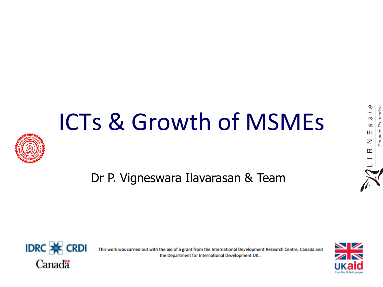# ICTs & Growth of MSMEs



Dr P. Vigneswara Ilavarasan & Team



This work was carried out with the aid of a grant from the International Development Research Centre, Canada and the Department for International Development UK...



В

is p

LIRNE

Pro-poor. Pro-market.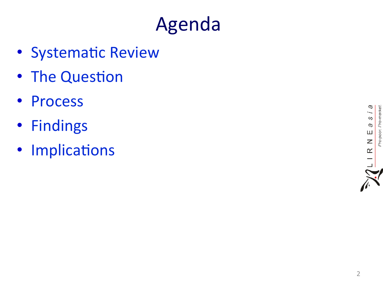### Agenda

- Systematic Review
- The Question
- Process
- Findings
- Implications

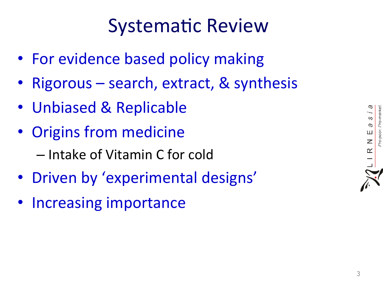#### **Systematic Review**

- For evidence based policy making
- Rigorous search, extract, & synthesis
- Unbiased & Replicable
- Origins from medicine – Intake of Vitamin C for cold
- Driven by 'experimental designs'
- Increasing importance

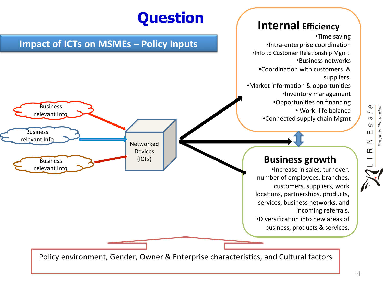

4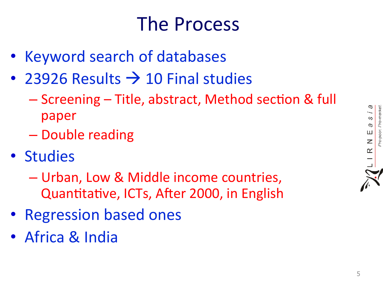#### **The Process**

- Keyword search of databases
- 23926 Results  $\rightarrow$  10 Final studies
	- Screening Title, abstract, Method section & full paper
	- Double reading
- · Studies
	- Urban, Low & Middle income countries, Quantitative, ICTs, After 2000, in English
- Regression based ones
- Africa & India

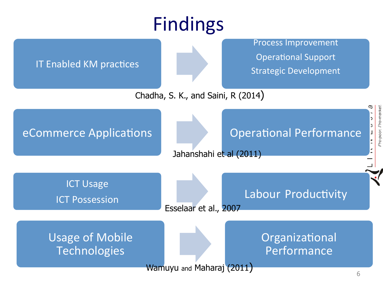# Findings

| <u>I IIIUIIIK</u> S                           |                           |                                                                                          |
|-----------------------------------------------|---------------------------|------------------------------------------------------------------------------------------|
| <b>IT Enabled KM practices</b>                |                           | <b>Process Improvement</b><br><b>Operational Support</b><br><b>Strategic Development</b> |
| Chadha, S. K., and Saini, R (2014)            |                           |                                                                                          |
| eCommerce Applications                        | Jahanshahi et al (2011)   | <b>Operational Performance</b><br>pro-pool                                               |
| <b>ICT Usage</b><br><b>ICT Possession</b>     | Esselaar et al., 2007     | Labour Productivity                                                                      |
| <b>Usage of Mobile</b><br><b>Technologies</b> | Wamuyu and Maharaj (2011) | Organizational<br>Performance                                                            |
|                                               |                           | 6                                                                                        |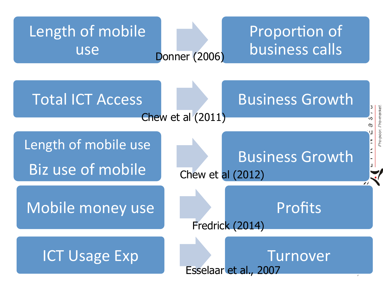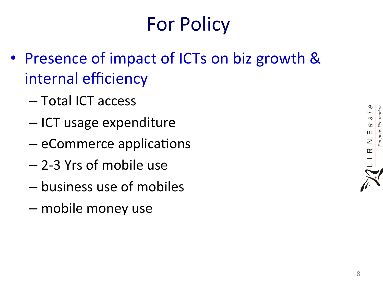# For Policy

- Presence of impact of ICTs on biz growth & internal efficiency
	- Total ICT access
	- ICT usage expenditure
	- eCommerce applications
	- $-$  2-3 Yrs of mobile use
	- business use of mobiles
	- mobile money use

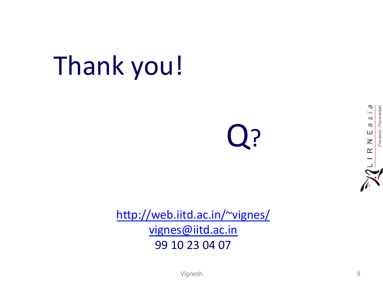# Thank you!

Q?



http://web.iitd.ac.in/~vignes/ vignes@iitd.ac.in 99 10 23 04 07